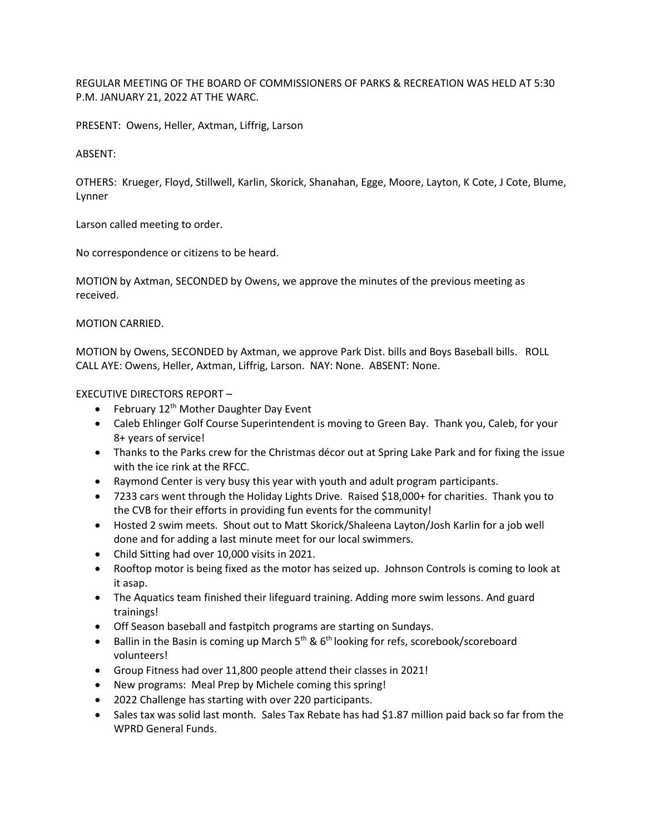REGULAR MEETING OF THE BOARD OF COMMISSIONERS OF PARKS & RECREATION WAS HELD AT 5:30 P.M. JANUARY 21, 2022 AT THE WARC.

PRESENT: Owens, Heller, Axtman, Liffrig, Larson

## ABSENT:

OTHERS: Krueger, Floyd, Stillwell, Karlin, Skorick, Shanahan, Egge, Moore, Layton, K Cote, J Cote, Blume, Lynner

Larson called meeting to order.

No correspondence or citizens to be heard.

MOTION by Axtman, SECONDED by Owens, we approve the minutes of the previous meeting as received.

MOTION CARRIED.

MOTION by Owens, SECONDED by Axtman, we approve Park Dist. bills and Boys Baseball bills. ROLL CALL AYE: Owens, Heller, Axtman, Liffrig, Larson. NAY: None. ABSENT: None.

EXECUTIVE DIRECTORS REPORT –

- February  $12^{th}$  Mother Daughter Day Event
- Caleb Ehlinger Golf Course Superintendent is moving to Green Bay. Thank you, Caleb, for your 8+ years of service!
- Thanks to the Parks crew for the Christmas décor out at Spring Lake Park and for fixing the issue with the ice rink at the RFCC.
- Raymond Center is very busy this year with youth and adult program participants.
- 7233 cars went through the Holiday Lights Drive. Raised \$18,000+ for charities. Thank you to the CVB for their efforts in providing fun events for the community!
- Hosted 2 swim meets. Shout out to Matt Skorick/Shaleena Layton/Josh Karlin for a job well done and for adding a last minute meet for our local swimmers.
- Child Sitting had over 10,000 visits in 2021.
- Rooftop motor is being fixed as the motor has seized up. Johnson Controls is coming to look at it asap.
- The Aquatics team finished their lifeguard training. Adding more swim lessons. And guard trainings!
- Off Season baseball and fastpitch programs are starting on Sundays.
- Ballin in the Basin is coming up March  $5<sup>th</sup>$  & 6<sup>th</sup> looking for refs, scorebook/scoreboard volunteers!
- Group Fitness had over 11,800 people attend their classes in 2021!
- New programs: Meal Prep by Michele coming this spring!
- 2022 Challenge has starting with over 220 participants.
- Sales tax was solid last month. Sales Tax Rebate has had \$1.87 million paid back so far from the WPRD General Funds.